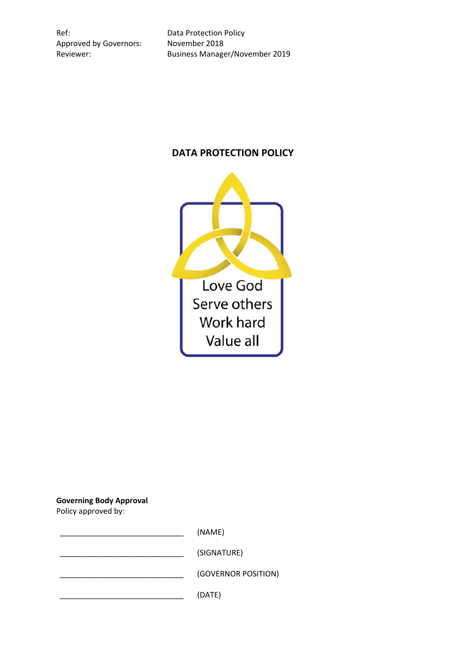Ref: **Branch Protection Policy** Data Protection Policy Approved by Governors: November 2018

Reviewer: Business Manager/November 2019

# **DATA PROTECTION POLICY**



**Governing Body Approval** Policy approved by:

\_\_\_\_\_\_\_\_\_\_\_\_\_\_\_\_\_\_\_\_\_\_\_\_\_\_\_\_\_ (NAME) \_\_\_\_\_\_\_\_\_\_\_\_\_\_\_\_\_\_\_\_\_\_\_\_\_\_\_\_\_ (SIGNATURE) \_\_\_\_\_\_\_\_\_\_\_\_\_\_\_\_\_\_\_\_\_\_\_\_\_\_\_\_\_ (GOVERNOR POSITION) \_\_\_\_\_\_\_\_\_\_\_\_\_\_\_\_\_\_\_\_\_\_\_\_\_\_\_\_\_ (DATE)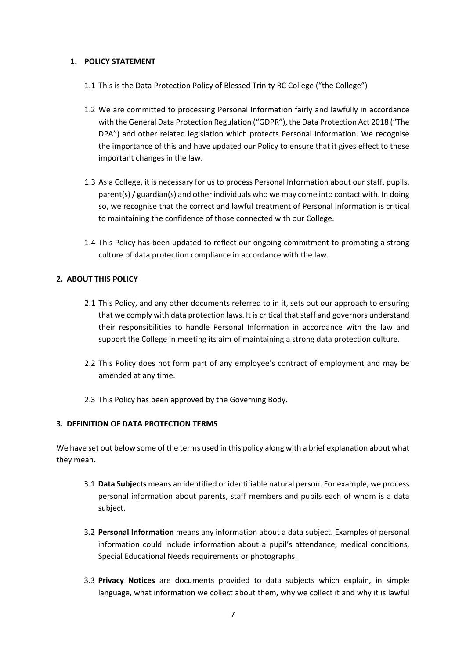## **1. POLICY STATEMENT**

- 1.1 This is the Data Protection Policy of Blessed Trinity RC College ("the College")
- 1.2 We are committed to processing Personal Information fairly and lawfully in accordance with the General Data Protection Regulation ("GDPR"), the Data Protection Act 2018 ("The DPA") and other related legislation which protects Personal Information. We recognise the importance of this and have updated our Policy to ensure that it gives effect to these important changes in the law.
- 1.3 As a College, it is necessary for us to process Personal Information about our staff, pupils, parent(s)/ guardian(s) and other individuals who we may come into contact with. In doing so, we recognise that the correct and lawful treatment of Personal Information is critical to maintaining the confidence of those connected with our College.
- 1.4 This Policy has been updated to reflect our ongoing commitment to promoting a strong culture of data protection compliance in accordance with the law.

# **2. ABOUT THIS POLICY**

- 2.1 This Policy, and any other documents referred to in it, sets out our approach to ensuring that we comply with data protection laws. It is critical that staff and governors understand their responsibilities to handle Personal Information in accordance with the law and support the College in meeting its aim of maintaining a strong data protection culture.
- 2.2 This Policy does not form part of any employee's contract of employment and may be amended at any time.
- 2.3 This Policy has been approved by the Governing Body.

# **3. DEFINITION OF DATA PROTECTION TERMS**

We have set out below some of the terms used in this policy along with a brief explanation about what they mean.

- 3.1 **Data Subjects** means an identified or identifiable natural person. For example, we process personal information about parents, staff members and pupils each of whom is a data subject.
- 3.2 **Personal Information** means any information about a data subject. Examples of personal information could include information about a pupil's attendance, medical conditions, Special Educational Needs requirements or photographs.
- 3.3 **Privacy Notices** are documents provided to data subjects which explain, in simple language, what information we collect about them, why we collect it and why it is lawful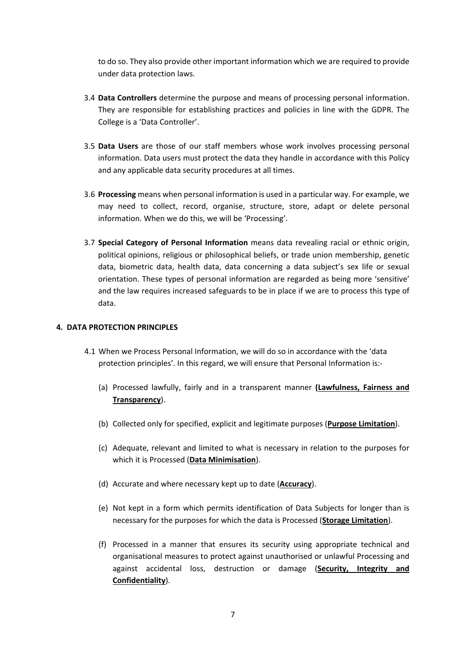to do so. They also provide other important information which we are required to provide under data protection laws.

- 3.4 **Data Controllers** determine the purpose and means of processing personal information. They are responsible for establishing practices and policies in line with the GDPR. The College is a 'Data Controller'.
- 3.5 **Data Users** are those of our staff members whose work involves processing personal information. Data users must protect the data they handle in accordance with this Policy and any applicable data security procedures at all times.
- 3.6 **Processing** means when personal information is used in a particular way. For example, we may need to collect, record, organise, structure, store, adapt or delete personal information. When we do this, we will be 'Processing'.
- 3.7 **Special Category of Personal Information** means data revealing racial or ethnic origin, political opinions, religious or philosophical beliefs, or trade union membership, genetic data, biometric data, health data, data concerning a data subject's sex life or sexual orientation. These types of personal information are regarded as being more 'sensitive' and the law requires increased safeguards to be in place if we are to process this type of data.

#### **4. DATA PROTECTION PRINCIPLES**

- 4.1 When we Process Personal Information, we will do so in accordance with the 'data protection principles'. In this regard, we will ensure that Personal Information is:-
	- (a) Processed lawfully, fairly and in a transparent manner **(Lawfulness, Fairness and Transparency**).
	- (b) Collected only for specified, explicit and legitimate purposes (**Purpose Limitation**).
	- (c) Adequate, relevant and limited to what is necessary in relation to the purposes for which it is Processed (**Data Minimisation**).
	- (d) Accurate and where necessary kept up to date (**Accuracy**).
	- (e) Not kept in a form which permits identification of Data Subjects for longer than is necessary for the purposes for which the data is Processed (**Storage Limitation**).
	- (f) Processed in a manner that ensures its security using appropriate technical and organisational measures to protect against unauthorised or unlawful Processing and against accidental loss, destruction or damage (**Security, Integrity and Confidentiality**).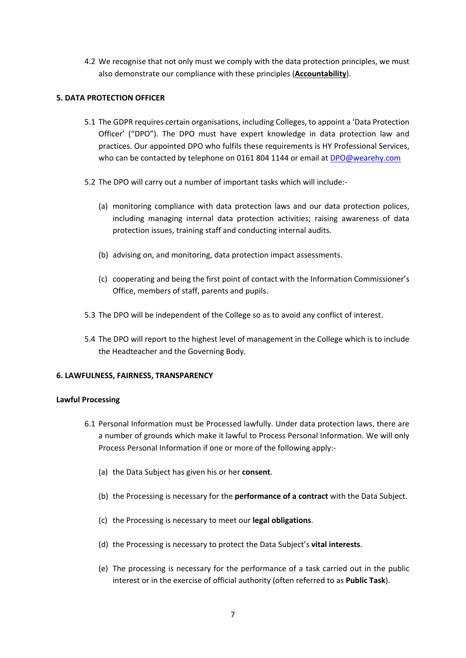4.2 We recognise that not only must we comply with the data protection principles, we must also demonstrate our compliance with these principles (**Accountability**).

## **5. DATA PROTECTION OFFICER**

- 5.1 The GDPR requires certain organisations, including Colleges, to appoint a 'Data Protection Officer' ("DPO"). The DPO must have expert knowledge in data protection law and practices. Our appointed DPO who fulfils these requirements is HY Professional Services, who can be contacted by telephone on 0161 804 1144 or email at DPO@wearehy.com
- 5.2 The DPO will carry out a number of important tasks which will include:‐
	- (a) monitoring compliance with data protection laws and our data protection polices, including managing internal data protection activities; raising awareness of data protection issues, training staff and conducting internal audits.
	- (b) advising on, and monitoring, data protection impact assessments.
	- (c) cooperating and being the first point of contact with the Information Commissioner's Office, members of staff, parents and pupils.
- 5.3 The DPO will be independent of the College so as to avoid any conflict of interest.
- 5.4 The DPO will report to the highest level of management in the College which is to include the Headteacher and the Governing Body.

## **6. LAWFULNESS, FAIRNESS, TRANSPARENCY**

## **Lawful Processing**

- 6.1 Personal Information must be Processed lawfully. Under data protection laws, there are a number of grounds which make it lawful to Process Personal Information. We will only Process Personal Information if one or more of the following apply:‐
	- (a) the Data Subject has given his or her **consent**.
	- (b) the Processing is necessary for the **performance of a contract** with the Data Subject.
	- (c) the Processing is necessary to meet our **legal obligations**.
	- (d) the Processing is necessary to protect the Data Subject's **vital interests**.
	- (e) The processing is necessary for the performance of a task carried out in the public interest or in the exercise of official authority (often referred to as **Public Task**).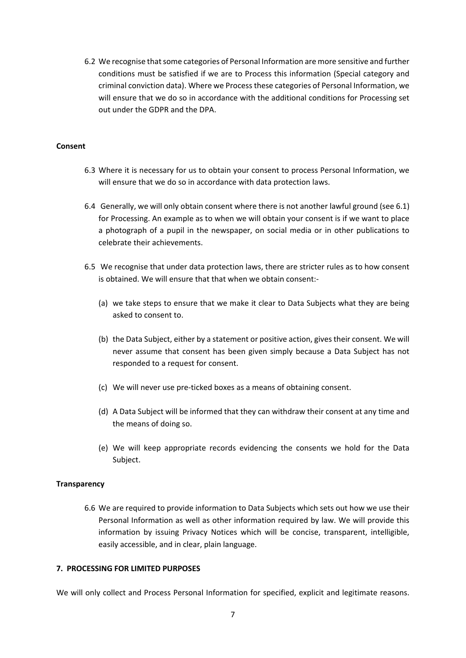6.2 We recognise that some categories of Personal Information are more sensitive and further conditions must be satisfied if we are to Process this information (Special category and criminal conviction data). Where we Processthese categories of Personal Information, we will ensure that we do so in accordance with the additional conditions for Processing set out under the GDPR and the DPA.

## **Consent**

- 6.3 Where it is necessary for us to obtain your consent to process Personal Information, we will ensure that we do so in accordance with data protection laws.
- 6.4 Generally, we will only obtain consent where there is not another lawful ground (see 6.1) for Processing. An example as to when we will obtain your consent is if we want to place a photograph of a pupil in the newspaper, on social media or in other publications to celebrate their achievements.
- 6.5 We recognise that under data protection laws, there are stricter rules as to how consent is obtained. We will ensure that that when we obtain consent:‐
	- (a) we take steps to ensure that we make it clear to Data Subjects what they are being asked to consent to.
	- (b) the Data Subject, either by a statement or positive action, gives their consent. We will never assume that consent has been given simply because a Data Subject has not responded to a request for consent.
	- (c) We will never use pre‐ticked boxes as a means of obtaining consent.
	- (d) A Data Subject will be informed that they can withdraw their consent at any time and the means of doing so.
	- (e) We will keep appropriate records evidencing the consents we hold for the Data Subject.

## **Transparency**

6.6 We are required to provide information to Data Subjects which sets out how we use their Personal Information as well as other information required by law. We will provide this information by issuing Privacy Notices which will be concise, transparent, intelligible, easily accessible, and in clear, plain language.

## **7. PROCESSING FOR LIMITED PURPOSES**

We will only collect and Process Personal Information for specified, explicit and legitimate reasons.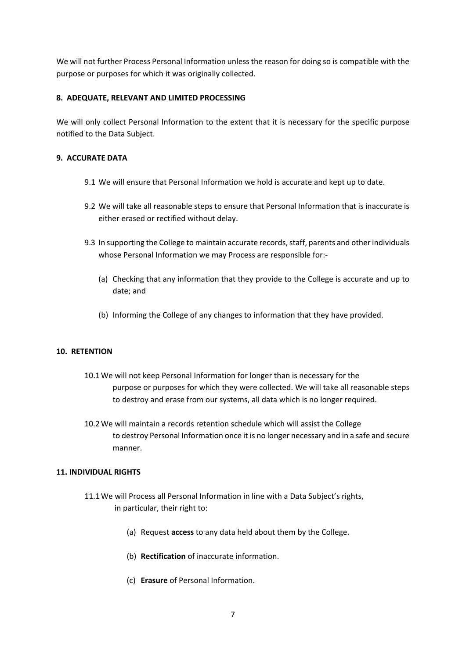We will not further Process Personal Information unless the reason for doing so is compatible with the purpose or purposes for which it was originally collected.

## **8. ADEQUATE, RELEVANT AND LIMITED PROCESSING**

We will only collect Personal Information to the extent that it is necessary for the specific purpose notified to the Data Subject.

## **9. ACCURATE DATA**

- 9.1 We will ensure that Personal Information we hold is accurate and kept up to date.
- 9.2 We will take all reasonable steps to ensure that Personal Information that is inaccurate is either erased or rectified without delay.
- 9.3 In supporting the College to maintain accurate records, staff, parents and other individuals whose Personal Information we may Process are responsible for:‐
	- (a) Checking that any information that they provide to the College is accurate and up to date; and
	- (b) Informing the College of any changes to information that they have provided.

## **10. RETENTION**

- 10.1We will not keep Personal Information for longer than is necessary for the purpose or purposes for which they were collected. We will take all reasonable steps to destroy and erase from our systems, all data which is no longer required.
- 10.2We will maintain a records retention schedule which will assist the College to destroy Personal Information once it is no longer necessary and in a safe and secure manner.

## **11. INDIVIDUAL RIGHTS**

- 11.1We will Process all Personal Information in line with a Data Subject's rights, in particular, their right to:
	- (a) Request **access** to any data held about them by the College.
	- (b) **Rectification** of inaccurate information.
	- (c) **Erasure** of Personal Information.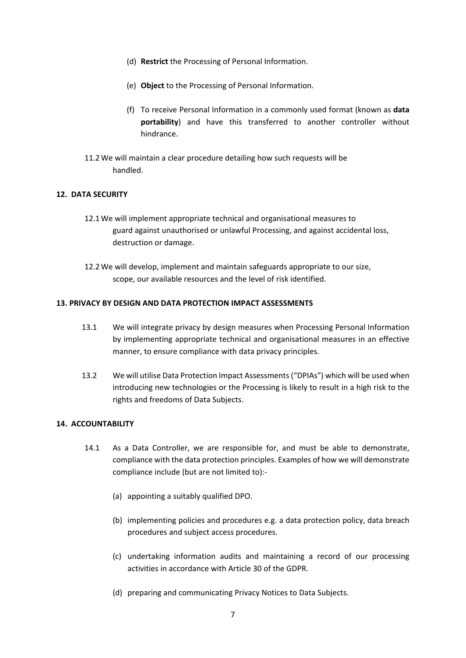- (d) **Restrict** the Processing of Personal Information.
- (e) **Object** to the Processing of Personal Information.
- (f) To receive Personal Information in a commonly used format (known as **data portability**) and have this transferred to another controller without hindrance.
- 11.2We will maintain a clear procedure detailing how such requests will be handled.

## **12. DATA SECURITY**

- 12.1We will implement appropriate technical and organisational measures to guard against unauthorised or unlawful Processing, and against accidental loss, destruction or damage.
- 12.2We will develop, implement and maintain safeguards appropriate to our size, scope, our available resources and the level of risk identified.

## **13. PRIVACY BY DESIGN AND DATA PROTECTION IMPACT ASSESSMENTS**

- 13.1 We will integrate privacy by design measures when Processing Personal Information by implementing appropriate technical and organisational measures in an effective manner, to ensure compliance with data privacy principles.
- 13.2 We will utilise Data Protection Impact Assessments("DPIAs") which will be used when introducing new technologies or the Processing is likely to result in a high risk to the rights and freedoms of Data Subjects.

## **14. ACCOUNTABILITY**

- 14.1 As a Data Controller, we are responsible for, and must be able to demonstrate, compliance with the data protection principles. Examples of how we will demonstrate compliance include (but are not limited to):‐
	- (a) appointing a suitably qualified DPO.
	- (b) implementing policies and procedures e.g. a data protection policy, data breach procedures and subject access procedures.
	- (c) undertaking information audits and maintaining a record of our processing activities in accordance with Article 30 of the GDPR.
	- (d) preparing and communicating Privacy Notices to Data Subjects.